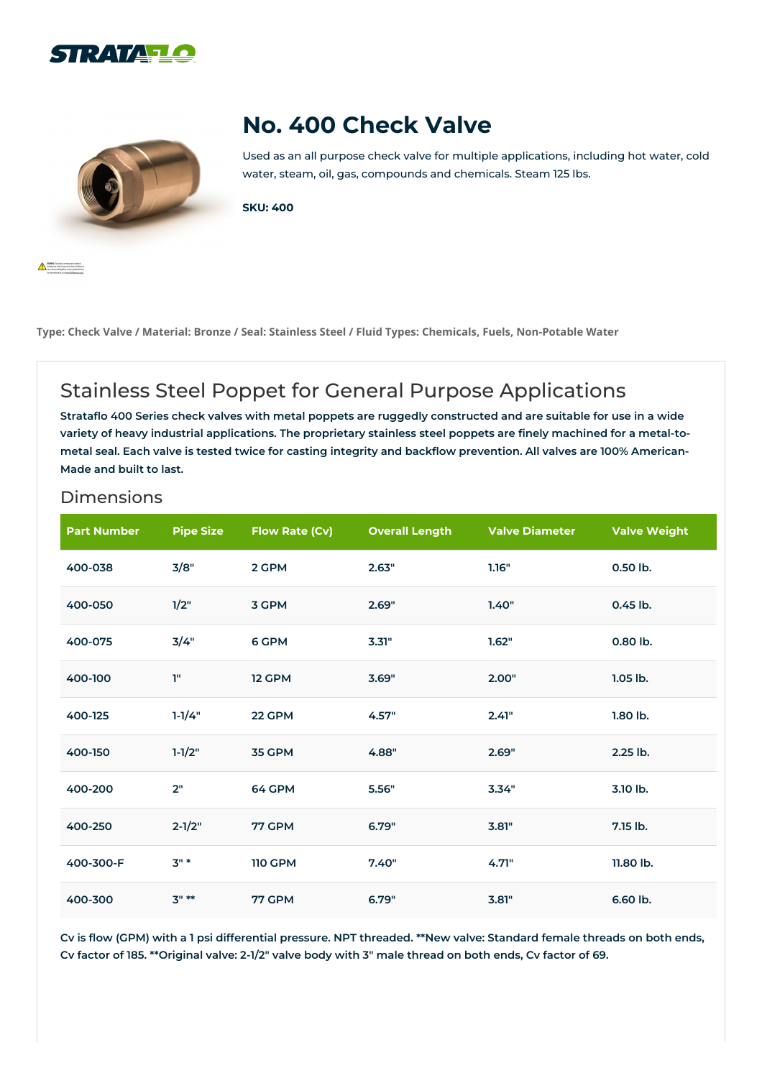



## **No. 400 Check Valve**

Used as an all purpose check valve for multiple applications, including hot water, cold water, steam, oil, gas, compounds and chemicals. Steam 125 lbs.

**SKU: 400**

Type: Check Valve / Material: Bronze / Seal: Stainless Steel / Fluid Types: Chemicals, Fuels, Non-Potable Water

## Stainless Steel Poppet for General Purpose Applications

Strataflo 400 Series check valves with metal poppets are ruggedly constructed and are suitable for use in a wide variety of heavy industrial applications. The proprietary stainless steel poppets are finely machined for a metal-tometal seal. Each valve is tested twice for casting integrity and backflow prevention. All valves are 100% American-**Made and built to last.**

## Dimensions

| <b>Part Number</b> | <b>Pipe Size</b> | <b>Flow Rate (Cv)</b> | <b>Overall Length</b> | <b>Valve Diameter</b> | <b>Valve Weight</b> |
|--------------------|------------------|-----------------------|-----------------------|-----------------------|---------------------|
| 400-038            | 3/8"             | 2 GPM                 | 2.63"                 | 1.16"                 | 0.50 lb.            |
| 400-050            | 1/2"             | 3 GPM                 | 2.69"                 | 1.40"                 | 0.45 lb.            |
| 400-075            | 3/4"             | 6 GPM                 | 3.31"                 | 1.62"                 | 0.80 lb.            |
| 400-100            | T"               | 12 GPM                | 3.69"                 | 2.00"                 | $1.05$ lb.          |
| 400-125            | $1-1/4"$         | 22 GPM                | 4.57"                 | 2.41"                 | 1.80 lb.            |
| 400-150            | $1 - 1/2"$       | 35 GPM                | 4.88"                 | 2.69"                 | 2.25 lb.            |
| 400-200            | 2"               | 64 GPM                | 5.56"                 | 3.34"                 | 3.10 lb.            |
| 400-250            | $2 - 1/2"$       | 77 GPM                | 6.79"                 | 3.81"                 | 7.15 lb.            |
| 400-300-F          | $3" *$           | <b>110 GPM</b>        | 7.40"                 | 4.71"                 | 11.80 lb.           |
| 400-300            | $3" **$          | 77 GPM                | 6.79"                 | 3.81"                 | 6.60 lb.            |

Cv is flow (GPM) with a 1 psi differential pressure. NPT threaded. \*\*New valve: Standard female threads on both ends, Cv factor of 185. \*\* Original valve: 2-1/2" valve body with 3" male thread on both ends, Cv factor of 69.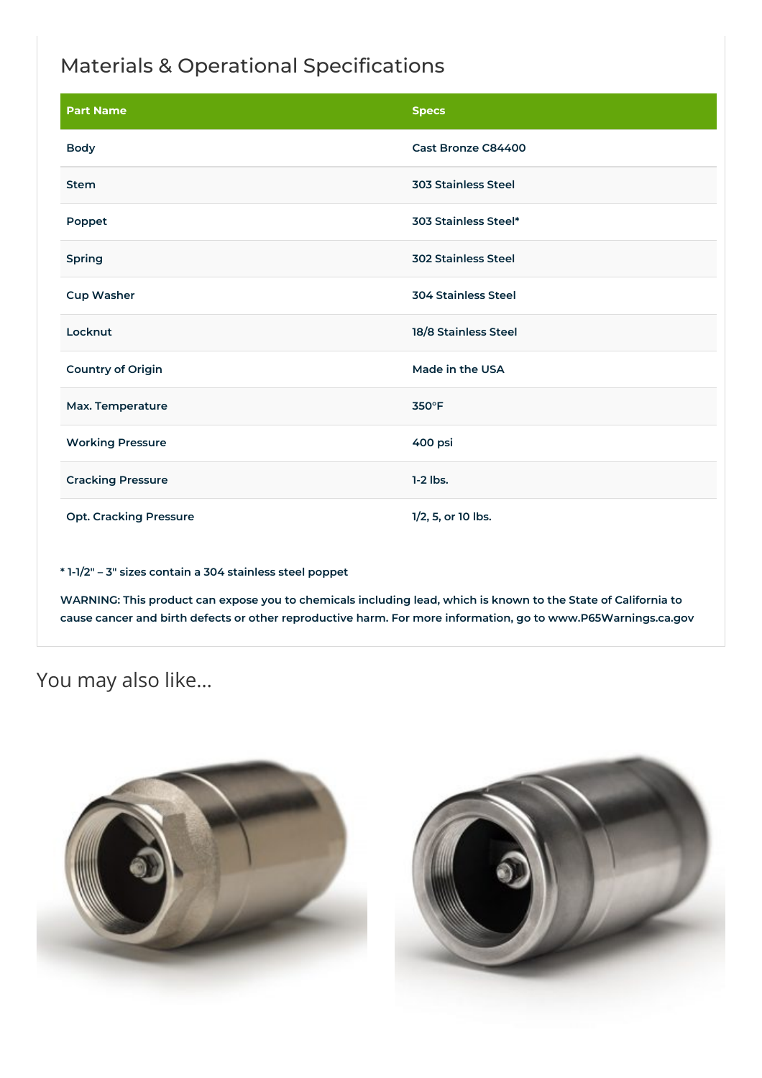## Materials & Operational Specifications

| <b>Part Name</b>              | <b>Specs</b>               |  |
|-------------------------------|----------------------------|--|
| <b>Body</b>                   | Cast Bronze C84400         |  |
| <b>Stem</b>                   | <b>303 Stainless Steel</b> |  |
| Poppet                        | 303 Stainless Steel*       |  |
| Spring                        | <b>302 Stainless Steel</b> |  |
| <b>Cup Washer</b>             | <b>304 Stainless Steel</b> |  |
| Locknut                       | 18/8 Stainless Steel       |  |
| <b>Country of Origin</b>      | Made in the USA            |  |
| Max. Temperature              | 350°F                      |  |
| <b>Working Pressure</b>       | 400 psi                    |  |
| <b>Cracking Pressure</b>      | $1-2$ lbs.                 |  |
| <b>Opt. Cracking Pressure</b> | 1/2, 5, or 10 lbs.         |  |

**\* 1-1/2″ – 3″ sizes contain a 304 stainless steel poppet**

WARNING: This product can expose you to chemicals including lead, which is known to the State of California to **cause cancer and birth defects or other reproductive harm. For more information, go to www.P65Warnings.ca.gov**

You may also like…